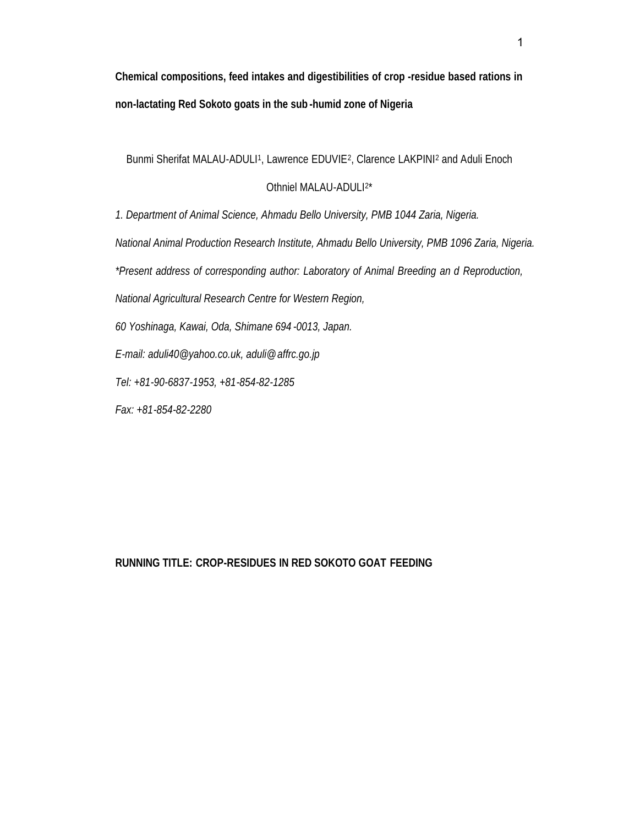**Chemical compositions, feed intakes and digestibilities of crop -residue based rations in non-lactating Red Sokoto goats in the sub -humid zone of Nigeria**

Bunmi Sherifat MALAU-ADULI<sup>1</sup>, Lawrence EDUVIE<sup>2</sup>, Clarence LAKPINI<sup>2</sup> and Aduli Enoch

# Othniel MALAU-ADULI<sup>2\*</sup>

*1. Department of Animal Science, Ahmadu Bello University, PMB 1044 Zaria, Nigeria.*

*National Animal Production Research Institute, Ahmadu Bello University, PMB 1096 Zaria, Nigeria.*

*\*Present address of corresponding author: Laboratory of Animal Breeding an d Reproduction,*

*National Agricultural Research Centre for Western Region,*

*60 Yoshinaga, Kawai, Oda, Shimane 694 -0013, Japan.*

*E-mail: a[duli40@yahoo.co.uk, a](aduli40@yahoo.co.uk)[duli@affrc.go.jp](aduli@affrc.go.jp)*

*Tel: +81-90-6837-1953, +81-854-82-1285*

*Fax: +81-854-82-2280*

**RUNNING TITLE: CROP-RESIDUES IN RED SOKOTO GOAT FEEDING**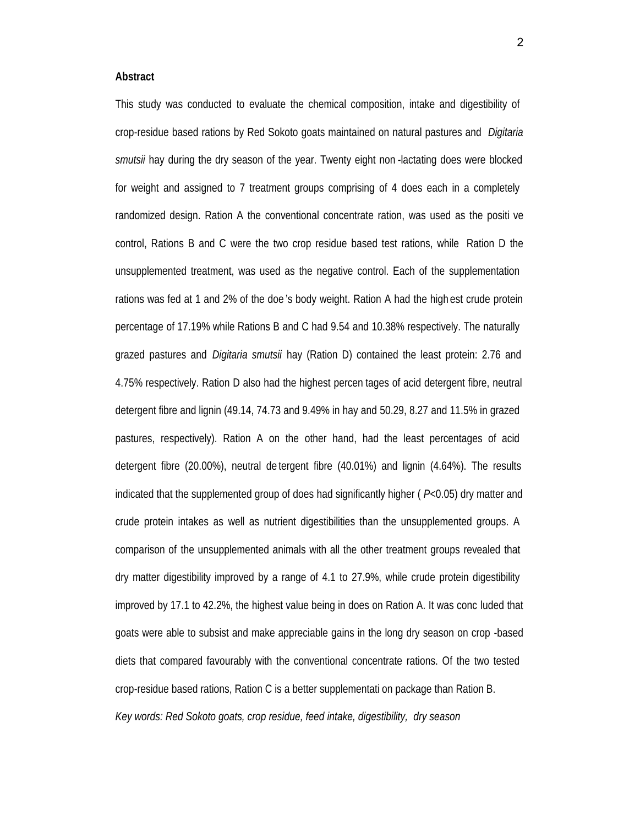#### **Abstract**

This study was conducted to evaluate the chemical composition, intake and digestibility of crop-residue based rations by Red Sokoto goats maintained on natural pastures and *Digitaria smutsii* hay during the dry season of the year. Twenty eight non -lactating does were blocked for weight and assigned to 7 treatment groups comprising of 4 does each in a completely randomized design. Ration A the conventional concentrate ration, was used as the positi ve control, Rations B and C were the two crop residue based test rations, while Ration D the unsupplemented treatment, was used as the negative control. Each of the supplementation rations was fed at 1 and 2% of the doe 's body weight. Ration A had the high est crude protein percentage of 17.19% while Rations B and C had 9.54 and 10.38% respectively. The naturally grazed pastures and *Digitaria smutsii* hay (Ration D) contained the least protein: 2.76 and 4.75% respectively. Ration D also had the highest percen tages of acid detergent fibre, neutral detergent fibre and lignin (49.14, 74.73 and 9.49% in hay and 50.29, 8.27 and 11.5% in grazed pastures, respectively). Ration A on the other hand, had the least percentages of acid detergent fibre (20.00%), neutral de tergent fibre (40.01%) and lignin (4.64%). The results indicated that the supplemented group of does had significantly higher ( *P*<0.05) dry matter and crude protein intakes as well as nutrient digestibilities than the unsupplemented groups. A comparison of the unsupplemented animals with all the other treatment groups revealed that dry matter digestibility improved by a range of 4.1 to 27.9%, while crude protein digestibility improved by 17.1 to 42.2%, the highest value being in does on Ration A. It was conc luded that goats were able to subsist and make appreciable gains in the long dry season on crop -based diets that compared favourably with the conventional concentrate rations. Of the two tested crop-residue based rations, Ration C is a better supplementati on package than Ration B. *Key words: Red Sokoto goats, crop residue, feed intake, digestibility, dry season*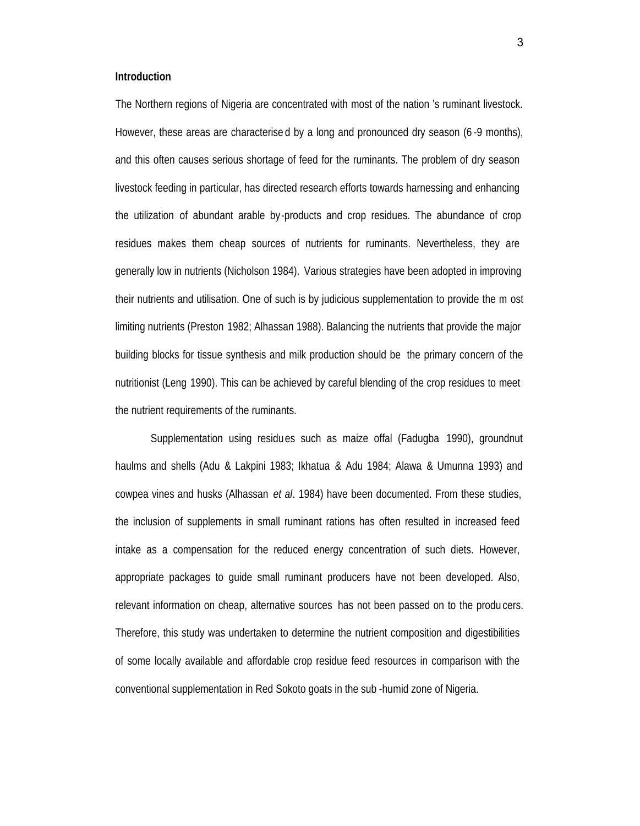### **Introduction**

The Northern regions of Nigeria are concentrated with most of the nation 's ruminant livestock. However, these areas are characterise d by a long and pronounced dry season (6 -9 months), and this often causes serious shortage of feed for the ruminants. The problem of dry season livestock feeding in particular, has directed research efforts towards harnessing and enhancing the utilization of abundant arable by-products and crop residues. The abundance of crop residues makes them cheap sources of nutrients for ruminants. Nevertheless, they are generally low in nutrients (Nicholson 1984). Various strategies have been adopted in improving their nutrients and utilisation. One of such is by judicious supplementation to provide the m ost limiting nutrients (Preston 1982; Alhassan 1988). Balancing the nutrients that provide the major building blocks for tissue synthesis and milk production should be the primary concern of the nutritionist (Leng 1990). This can be achieved by careful blending of the crop residues to meet the nutrient requirements of the ruminants.

Supplementation using residues such as maize offal (Fadugba 1990), groundnut haulms and shells (Adu & Lakpini 1983; Ikhatua & Adu 1984; Alawa & Umunna 1993) and cowpea vines and husks (Alhassan *et al*. 1984) have been documented. From these studies, the inclusion of supplements in small ruminant rations has often resulted in increased feed intake as a compensation for the reduced energy concentration of such diets. However, appropriate packages to guide small ruminant producers have not been developed. Also, relevant information on cheap, alternative sources has not been passed on to the produ cers. Therefore, this study was undertaken to determine the nutrient composition and digestibilities of some locally available and affordable crop residue feed resources in comparison with the conventional supplementation in Red Sokoto goats in the sub -humid zone of Nigeria.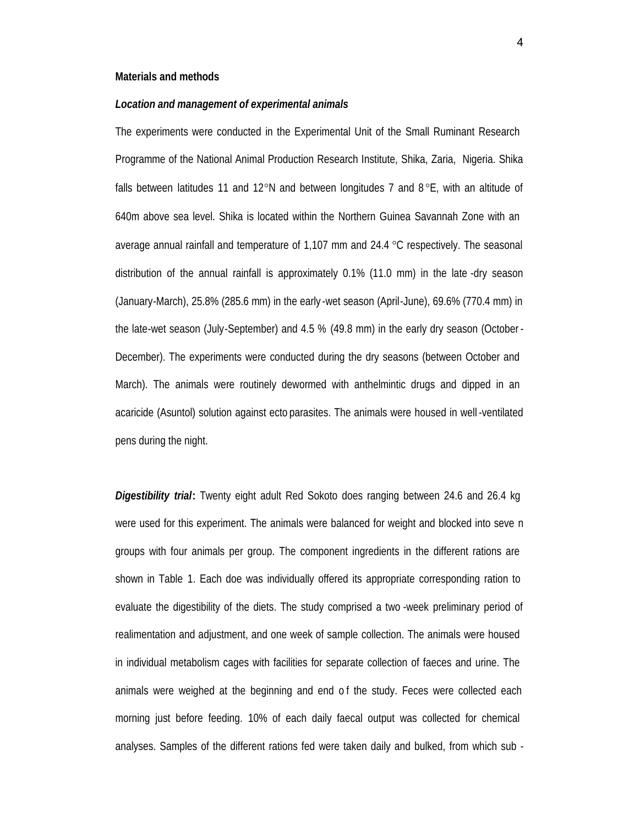### **Materials and methods**

*Location and management of experimental animals*

The experiments were conducted in the Experimental Unit of the Small Ruminant Research Programme of the National Animal Production Research Institute, Shika, Zaria, Nigeria. Shika falls between latitudes 11 and 12°N and between longitudes 7 and  $8^{\circ}E$ , with an altitude of 640m above sea level. Shika is located within the Northern Guinea Savannah Zone with an average annual rainfall and temperature of  $1,107$  mm and  $24.4$  °C respectively. The seasonal distribution of the annual rainfall is approximately 0.1% (11.0 mm) in the late -dry season (January-March), 25.8% (285.6 mm) in the early -wet season (April-June), 69.6% (770.4 mm) in the late-wet season (July-September) and 4.5 % (49.8 mm) in the early dry season (October - December). The experiments were conducted during the dry seasons (between October and March). The animals were routinely dewormed with anthelmintic drugs and dipped in an acaricide (Asuntol) solution against ecto parasites. The animals were housed in well -ventilated pens during the night.

*Digestibility trial***:** Twenty eight adult Red Sokoto does ranging between 24.6 and 26.4 kg were used for this experiment. The animals were balanced for weight and blocked into seve n groups with four animals per group. The component ingredients in the different rations are shown in Table 1. Each doe was individually offered its appropriate corresponding ration to evaluate the digestibility of the diets. The study comprised a two -week preliminary period of realimentation and adjustment, and one week of sample collection. The animals were housed in individual metabolism cages with facilities for separate collection of faeces and urine. The animals were weighed at the beginning and end o f the study. Feces were collected each morning just before feeding. 10% of each daily faecal output was collected for chemical analyses. Samples of the different rations fed were taken daily and bulked, from which sub -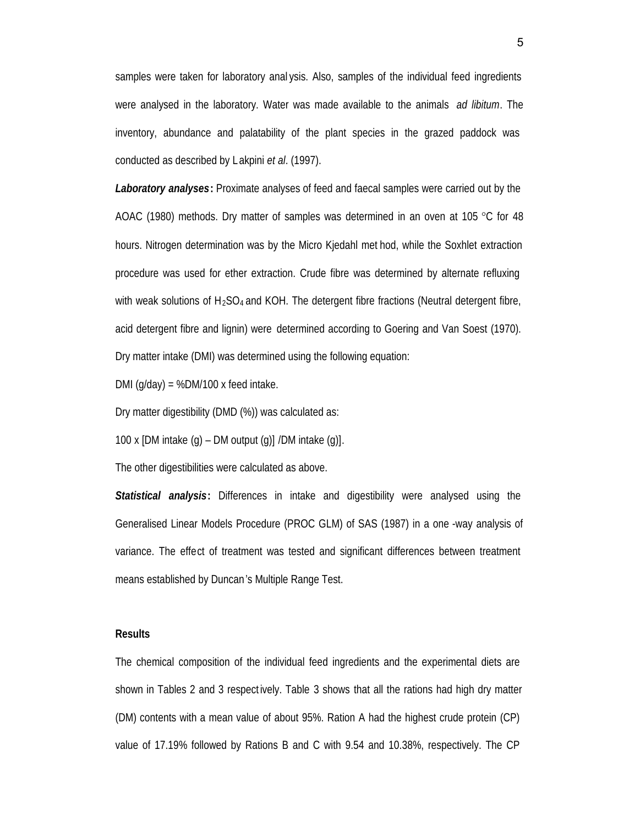samples were taken for laboratory anal ysis. Also, samples of the individual feed ingredients were analysed in the laboratory. Water was made available to the animals *ad libitum*. The inventory, abundance and palatability of the plant species in the grazed paddock was conducted as described by Lakpini *et al*. (1997).

*Laboratory analyses***:** Proximate analyses of feed and faecal samples were carried out by the AOAC (1980) methods. Dry matter of samples was determined in an oven at 105  $\degree$ C for 48 hours. Nitrogen determination was by the Micro Kjedahl met hod, while the Soxhlet extraction procedure was used for ether extraction. Crude fibre was determined by alternate refluxing with weak solutions of  $H_2SO_4$  and KOH. The detergent fibre fractions (Neutral detergent fibre, acid detergent fibre and lignin) were determined according to Goering and Van Soest (1970). Dry matter intake (DMI) was determined using the following equation:

DMI  $(q/day) = %DM/100 x feed intake.$ 

Dry matter digestibility (DMD (%)) was calculated as:

100 x [DM intake  $(q)$  – DM output  $(q)$ ] /DM intake  $(q)$ ].

The other digestibilities were calculated as above.

*Statistical analysis***:** Differences in intake and digestibility were analysed using the Generalised Linear Models Procedure (PROC GLM) of SAS (1987) in a one -way analysis of variance. The effect of treatment was tested and significant differences between treatment means established by Duncan's Multiple Range Test.

#### **Results**

The chemical composition of the individual feed ingredients and the experimental diets are shown in Tables 2 and 3 respect ively. Table 3 shows that all the rations had high dry matter (DM) contents with a mean value of about 95%. Ration A had the highest crude protein (CP) value of 17.19% followed by Rations B and C with 9.54 and 10.38%, respectively. The CP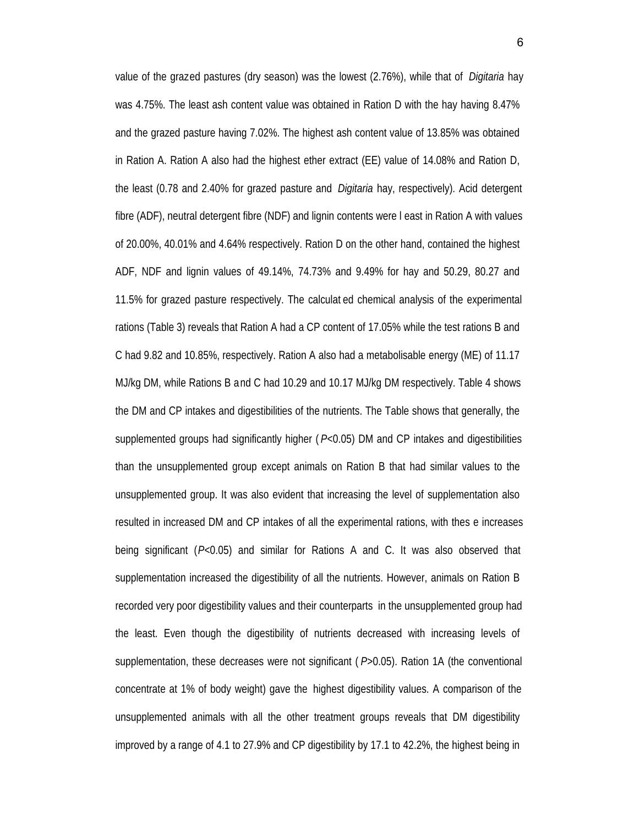value of the grazed pastures (dry season) was the lowest (2.76%), while that of *Digitaria* hay was 4.75%. The least ash content value was obtained in Ration D with the hay having 8.47% and the grazed pasture having 7.02%. The highest ash content value of 13.85% was obtained in Ration A. Ration A also had the highest ether extract (EE) value of 14.08% and Ration D, the least (0.78 and 2.40% for grazed pasture and *Digitaria* hay, respectively). Acid detergent fibre (ADF), neutral detergent fibre (NDF) and lignin contents were l east in Ration A with values of 20.00%, 40.01% and 4.64% respectively. Ration D on the other hand, contained the highest ADF, NDF and lignin values of 49.14%, 74.73% and 9.49% for hay and 50.29, 80.27 and 11.5% for grazed pasture respectively. The calculat ed chemical analysis of the experimental rations (Table 3) reveals that Ration A had a CP content of 17.05% while the test rations B and C had 9.82 and 10.85%, respectively. Ration A also had a metabolisable energy (ME) of 11.17 MJ/kg DM, while Rations B and C had 10.29 and 10.17 MJ/kg DM respectively. Table 4 shows the DM and CP intakes and digestibilities of the nutrients. The Table shows that generally, the supplemented groups had significantly higher ( *P*<0.05) DM and CP intakes and digestibilities than the unsupplemented group except animals on Ration B that had similar values to the unsupplemented group. It was also evident that increasing the level of supplementation also resulted in increased DM and CP intakes of all the experimental rations, with thes e increases being significant (*P*<0.05) and similar for Rations A and C. It was also observed that supplementation increased the digestibility of all the nutrients. However, animals on Ration B recorded very poor digestibility values and their counterparts in the unsupplemented group had the least. Even though the digestibility of nutrients decreased with increasing levels of supplementation, these decreases were not significant ( *P*>0.05). Ration 1A (the conventional concentrate at 1% of body weight) gave the highest digestibility values. A comparison of the unsupplemented animals with all the other treatment groups reveals that DM digestibility improved by a range of 4.1 to 27.9% and CP digestibility by 17.1 to 42.2%, the highest being in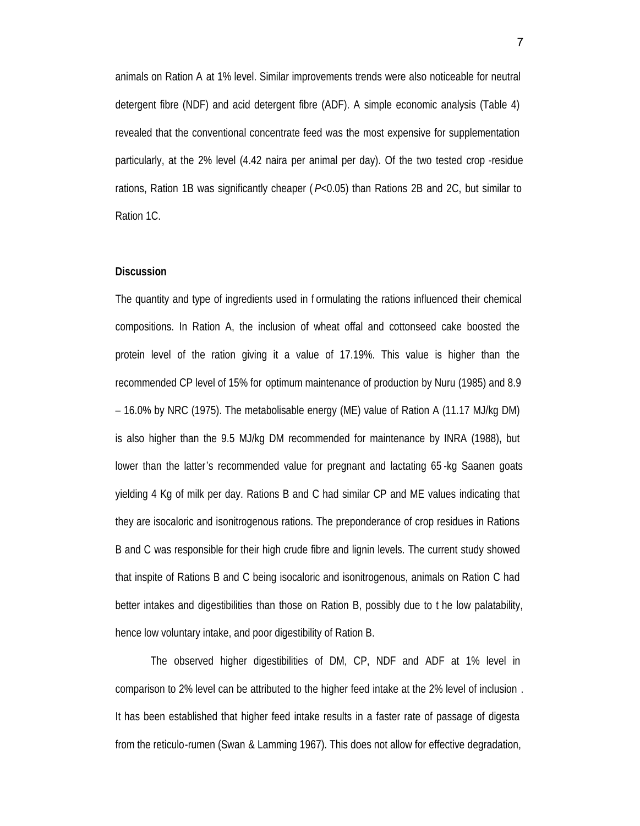animals on Ration A at 1% level. Similar improvements trends were also noticeable for neutral detergent fibre (NDF) and acid detergent fibre (ADF). A simple economic analysis (Table 4) revealed that the conventional concentrate feed was the most expensive for supplementation particularly, at the 2% level (4.42 naira per animal per day). Of the two tested crop -residue rations, Ration 1B was significantly cheaper ( *P*<0.05) than Rations 2B and 2C, but similar to Ration 1C.

## **Discussion**

The quantity and type of ingredients used in f ormulating the rations influenced their chemical compositions. In Ration A, the inclusion of wheat offal and cottonseed cake boosted the protein level of the ration giving it a value of 17.19%. This value is higher than the recommended CP level of 15% for optimum maintenance of production by Nuru (1985) and 8.9 – 16.0% by NRC (1975). The metabolisable energy (ME) value of Ration A (11.17 MJ/kg DM) is also higher than the 9.5 MJ/kg DM recommended for maintenance by INRA (1988), but lower than the latter's recommended value for pregnant and lactating 65 -kg Saanen goats yielding 4 Kg of milk per day. Rations B and C had similar CP and ME values indicating that they are isocaloric and isonitrogenous rations. The preponderance of crop residues in Rations B and C was responsible for their high crude fibre and lignin levels. The current study showed that inspite of Rations B and C being isocaloric and isonitrogenous, animals on Ration C had better intakes and digestibilities than those on Ration B, possibly due to t he low palatability, hence low voluntary intake, and poor digestibility of Ration B.

The observed higher digestibilities of DM, CP, NDF and ADF at 1% level in comparison to 2% level can be attributed to the higher feed intake at the 2% level of inclusion . It has been established that higher feed intake results in a faster rate of passage of digesta from the reticulo-rumen (Swan & Lamming 1967). This does not allow for effective degradation,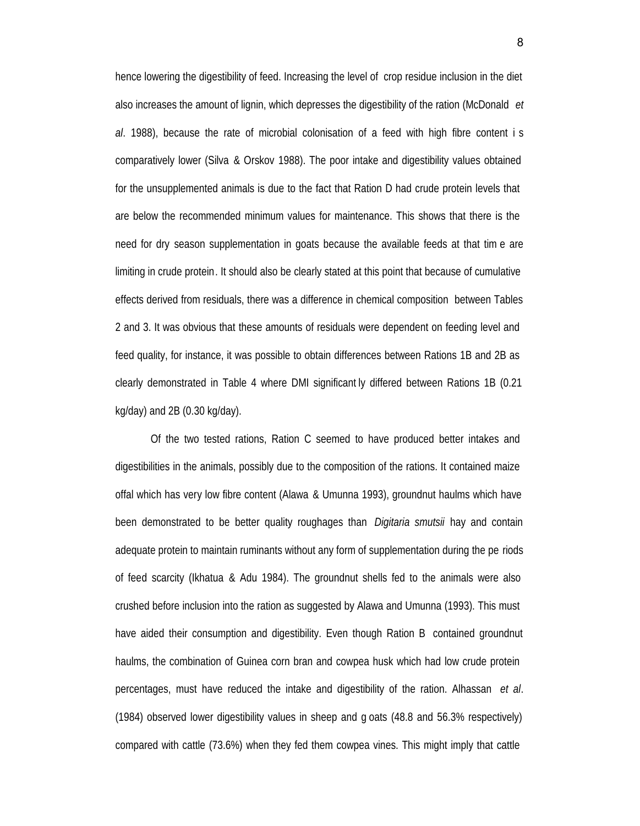hence lowering the digestibility of feed. Increasing the level of crop residue inclusion in the diet also increases the amount of lignin, which depresses the digestibility of the ration (McDonald *et al*. 1988), because the rate of microbial colonisation of a feed with high fibre content i s comparatively lower (Silva & Orskov 1988). The poor intake and digestibility values obtained for the unsupplemented animals is due to the fact that Ration D had crude protein levels that are below the recommended minimum values for maintenance. This shows that there is the need for dry season supplementation in goats because the available feeds at that tim e are limiting in crude protein. It should also be clearly stated at this point that because of cumulative effects derived from residuals, there was a difference in chemical composition between Tables 2 and 3. It was obvious that these amounts of residuals were dependent on feeding level and feed quality, for instance, it was possible to obtain differences between Rations 1B and 2B as clearly demonstrated in Table 4 where DMI significant ly differed between Rations 1B (0.21  $kq/day$ ) and 2B (0.30 kg/day).

Of the two tested rations, Ration C seemed to have produced better intakes and digestibilities in the animals, possibly due to the composition of the rations. It contained maize offal which has very low fibre content (Alawa & Umunna 1993), groundnut haulms which have been demonstrated to be better quality roughages than *Digitaria smutsii* hay and contain adequate protein to maintain ruminants without any form of supplementation during the pe riods of feed scarcity (Ikhatua & Adu 1984). The groundnut shells fed to the animals were also crushed before inclusion into the ration as suggested by Alawa and Umunna (1993). This must have aided their consumption and digestibility. Even though Ration B contained groundnut haulms, the combination of Guinea corn bran and cowpea husk which had low crude protein percentages, must have reduced the intake and digestibility of the ration. Alhassan *et al*. (1984) observed lower digestibility values in sheep and g oats (48.8 and 56.3% respectively) compared with cattle (73.6%) when they fed them cowpea vines. This might imply that cattle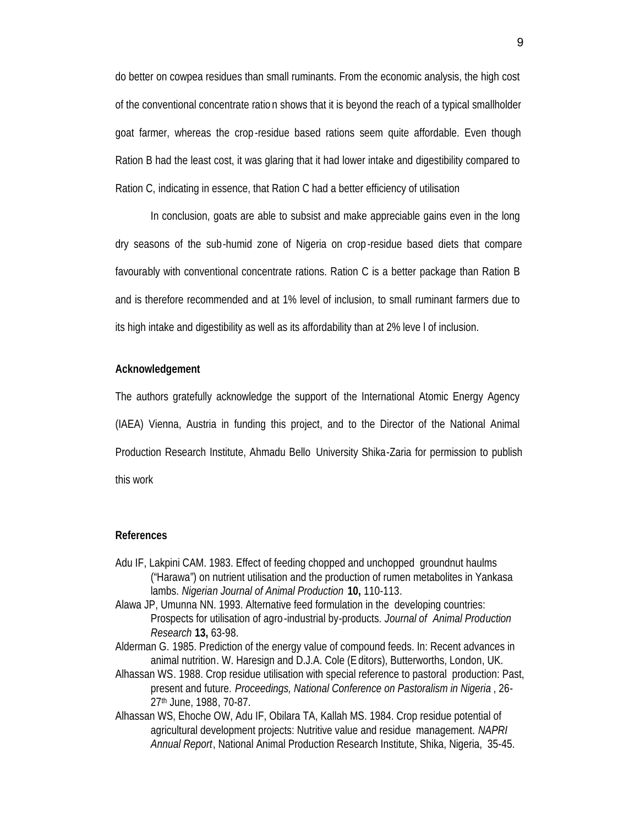do better on cowpea residues than small ruminants. From the economic analysis, the high cost of the conventional concentrate ratio n shows that it is beyond the reach of a typical smallholder goat farmer, whereas the crop -residue based rations seem quite affordable. Even though Ration B had the least cost, it was glaring that it had lower intake and digestibility compared to Ration C, indicating in essence, that Ration C had a better efficiency of utilisation

In conclusion, goats are able to subsist and make appreciable gains even in the long dry seasons of the sub-humid zone of Nigeria on crop -residue based diets that compare favourably with conventional concentrate rations. Ration C is a better package than Ration B and is therefore recommended and at 1% level of inclusion, to small ruminant farmers due to its high intake and digestibility as well as its affordability than at 2% leve l of inclusion.

### **Acknowledgement**

The authors gratefully acknowledge the support of the International Atomic Energy Agency (IAEA) Vienna, Austria in funding this project, and to the Director of the National Animal Production Research Institute, Ahmadu Bello University Shika-Zaria for permission to publish this work

## **References**

- Adu IF, Lakpini CAM. 1983. Effect of feeding chopped and unchopped groundnut haulms ("Harawa") on nutrient utilisation and the production of rumen metabolites in Yankasa lambs. *Nigerian Journal of Animal Production* **10,** 110-113.
- Alawa JP, Umunna NN. 1993. Alternative feed formulation in the developing countries: Prospects for utilisation of agro -industrial by-products. *Journal of Animal Production Research* **13,** 63-98.
- Alderman G. 1985. Prediction of the energy value of compound feeds. In: Recent advances in animal nutrition. W. Haresign and D.J.A. Cole (Editors), Butterworths, London, UK.
- Alhassan WS. 1988. Crop residue utilisation with special reference to pastoral production: Past, present and future. *Proceedings, National Conference on Pastoralism in Nigeria* , 26- 27th June, 1988, 70-87.
- Alhassan WS, Ehoche OW, Adu IF, Obilara TA, Kallah MS. 1984. Crop residue potential of agricultural development projects: Nutritive value and residue management. *NAPRI Annual Report*, National Animal Production Research Institute, Shika, Nigeria, 35-45.

9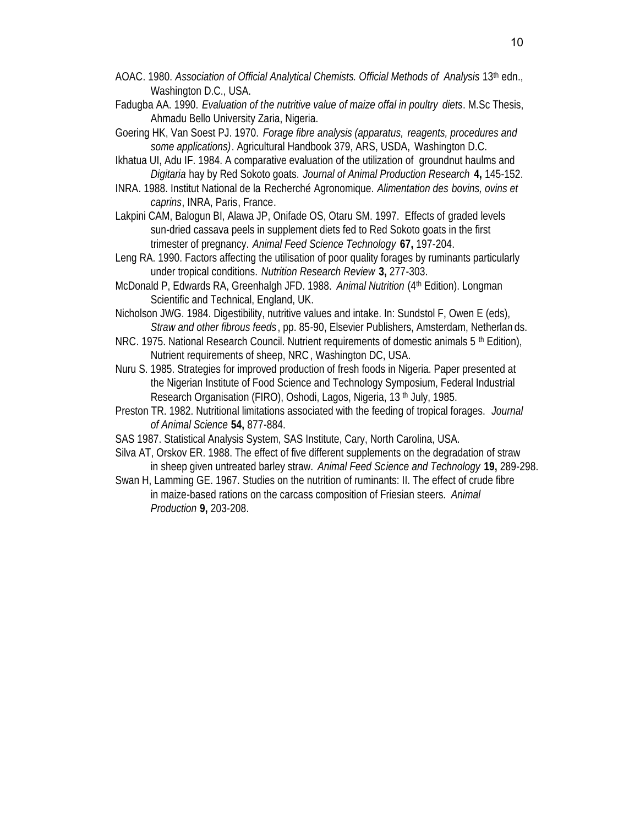- AOAC. 1980. *Association of Official Analytical Chemists. Official Methods of Analysis* 13th edn., Washington D.C., USA.
- Fadugba AA. 1990. *Evaluation of the nutritive value of maize offal in poultry diets*. M.Sc Thesis, Ahmadu Bello University Zaria, Nigeria.
- Goering HK, Van Soest PJ. 1970. *Forage fibre analysis (apparatus, reagents, procedures and some applications)*. Agricultural Handbook 379, ARS, USDA, Washington D.C.
- Ikhatua UI, Adu IF. 1984. A comparative evaluation of the utilization of groundnut haulms and *Digitaria* hay by Red Sokoto goats. *Journal of Animal Production Research* **4,** 145-152.
- INRA. 1988. Institut National de la Recherché Agronomique. *Alimentation des bovins, ovins et caprins*, INRA, Paris, France.
- Lakpini CAM, Balogun BI, Alawa JP, Onifade OS, Otaru SM. 1997. Effects of graded levels sun-dried cassava peels in supplement diets fed to Red Sokoto goats in the first trimester of pregnancy. *Animal Feed Science Technology* **67,** 197-204.
- Leng RA. 1990. Factors affecting the utilisation of poor quality forages by ruminants particularly under tropical conditions. *Nutrition Research Review* **3,** 277-303.
- McDonald P, Edwards RA, Greenhalgh JFD. 1988. *Animal Nutrition* (4th Edition). Longman Scientific and Technical, England, UK.
- Nicholson JWG. 1984. Digestibility, nutritive values and intake. In: Sundstol F, Owen E (eds), *Straw and other fibrous feeds* , pp. 85-90, Elsevier Publishers, Amsterdam, Netherlan ds.
- NRC. 1975. National Research Council. Nutrient requirements of domestic animals  $5<sup>th</sup>$  Edition), Nutrient requirements of sheep, NRC, Washington DC, USA.
- Nuru S. 1985. Strategies for improved production of fresh foods in Nigeria. Paper presented at the Nigerian Institute of Food Science and Technology Symposium, Federal Industrial Research Organisation (FIRO), Oshodi, Lagos, Nigeria, 13<sup>th</sup> July, 1985.
- Preston TR. 1982. Nutritional limitations associated with the feeding of tropical forages. *Journal of Animal Science* **54,** 877-884.
- SAS 1987. Statistical Analysis System, SAS Institute, Cary, North Carolina, USA.
- Silva AT, Orskov ER. 1988. The effect of five different supplements on the degradation of straw in sheep given untreated barley straw. *Animal Feed Science and Technology* **19,** 289-298.
- Swan H, Lamming GE. 1967. Studies on the nutrition of ruminants: II. The effect of crude fibre in maize-based rations on the carcass composition of Friesian steers. *Animal Production* **9,** 203-208.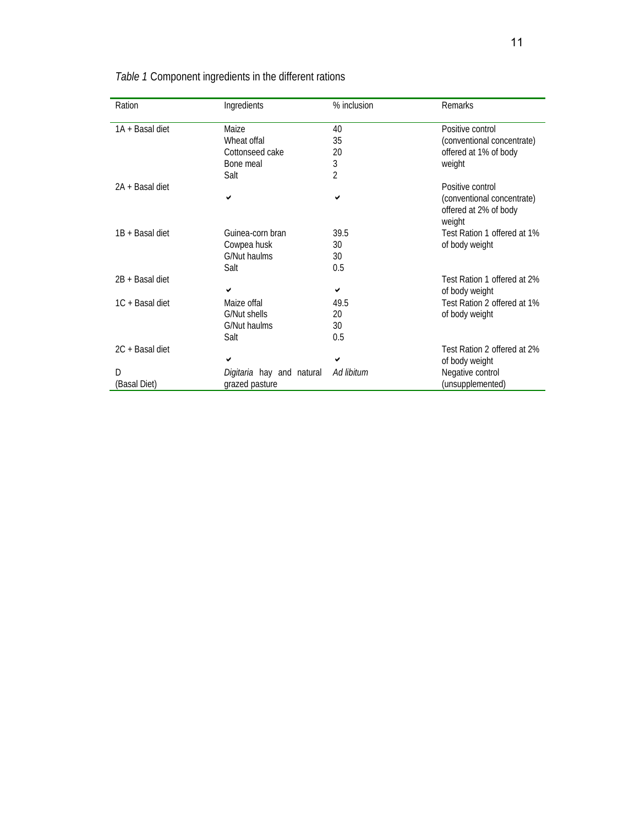| Ration          | Ingredients               | % inclusion | <b>Remarks</b>                                                |
|-----------------|---------------------------|-------------|---------------------------------------------------------------|
| 1A + Basal diet | Maize                     | 40          | Positive control                                              |
|                 | Wheat offal               | 35          | (conventional concentrate)                                    |
|                 | Cottonseed cake           | 20          | offered at 1% of body                                         |
|                 | Bone meal                 | 3           | weight                                                        |
|                 | Salt                      | 2           |                                                               |
| 2A + Basal diet |                           |             | Positive control                                              |
|                 | ✔                         | ✔           | (conventional concentrate)<br>offered at 2% of body<br>weight |
| 1B + Basal diet | Guinea-corn bran          | 39.5        | Test Ration 1 offered at 1%                                   |
|                 | Cowpea husk               | 30          | of body weight                                                |
|                 | G/Nut haulms              | 30          |                                                               |
|                 | Salt                      | 0.5         |                                                               |
| 2B + Basal diet |                           |             | Test Ration 1 offered at 2%                                   |
|                 | ✓                         | ✔           | of body weight                                                |
| 1C + Basal diet | Maize offal               | 49.5        | Test Ration 2 offered at 1%                                   |
|                 | G/Nut shells              | 20          | of body weight                                                |
|                 | G/Nut haulms              | 30          |                                                               |
|                 | Salt                      | 0.5         |                                                               |
| 2C + Basal diet |                           |             | Test Ration 2 offered at 2%                                   |
|                 | ✓                         | ✓           | of body weight                                                |
| D               | Digitaria hay and natural | Ad libitum  | Negative control                                              |
| (Basal Diet)    | grazed pasture            |             | (unsupplemented)                                              |

*Table 1* Component ingredients in the different rations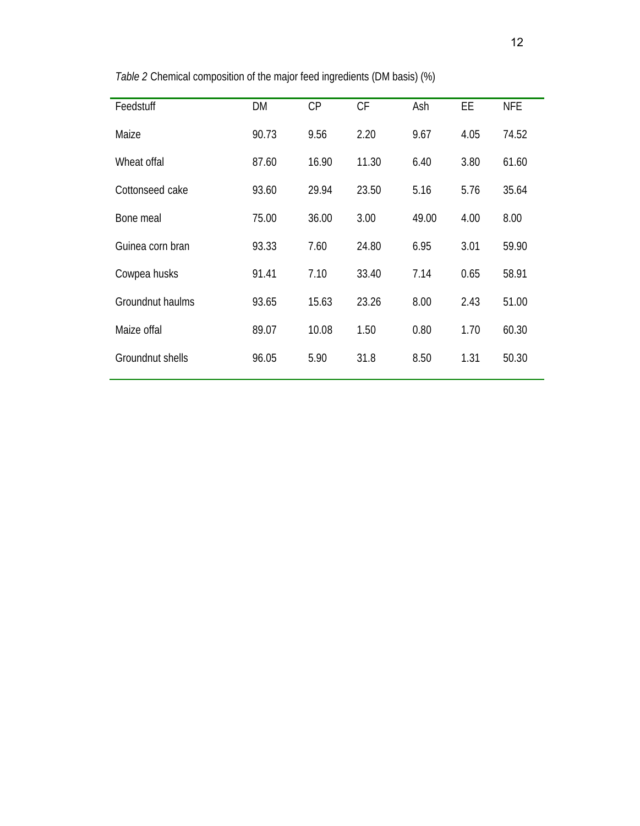| Feedstuff        | DM    | CP    | <b>CF</b> | Ash   | <b>EE</b> | <b>NFE</b> |
|------------------|-------|-------|-----------|-------|-----------|------------|
| Maize            | 90.73 | 9.56  | 2.20      | 9.67  | 4.05      | 74.52      |
| Wheat offal      | 87.60 | 16.90 | 11.30     | 6.40  | 3.80      | 61.60      |
| Cottonseed cake  | 93.60 | 29.94 | 23.50     | 5.16  | 5.76      | 35.64      |
| Bone meal        | 75.00 | 36.00 | 3.00      | 49.00 | 4.00      | 8.00       |
| Guinea corn bran | 93.33 | 7.60  | 24.80     | 6.95  | 3.01      | 59.90      |
| Cowpea husks     | 91.41 | 7.10  | 33.40     | 7.14  | 0.65      | 58.91      |
| Groundnut haulms | 93.65 | 15.63 | 23.26     | 8.00  | 2.43      | 51.00      |
| Maize offal      | 89.07 | 10.08 | 1.50      | 0.80  | 1.70      | 60.30      |
| Groundnut shells | 96.05 | 5.90  | 31.8      | 8.50  | 1.31      | 50.30      |
|                  |       |       |           |       |           |            |

*Table 2* Chemical composition of the major feed ingredients (DM basis) (%)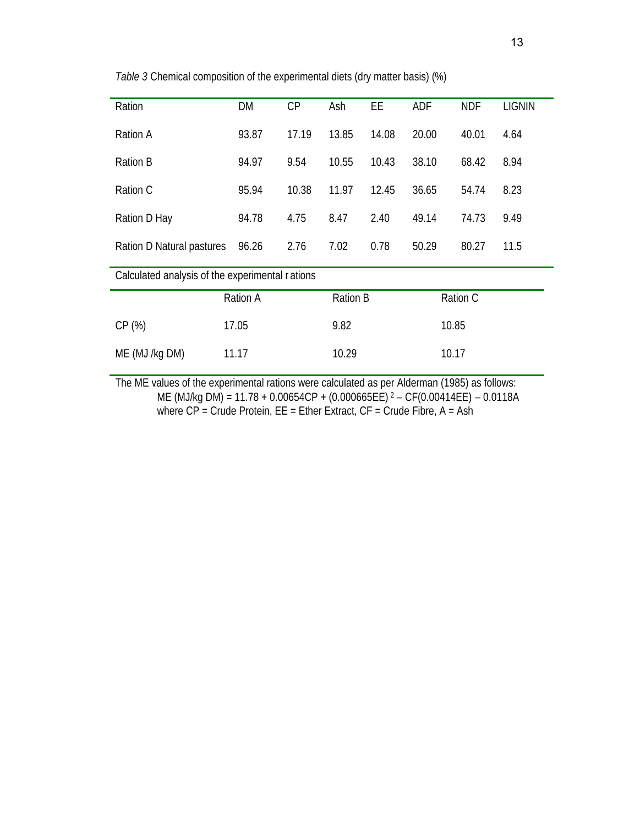| Ration                                          | DM              | CP    | Ash   | <b>EE</b>       | <b>ADF</b> | <b>NDF</b> | <b>LIGNIN</b> |  |
|-------------------------------------------------|-----------------|-------|-------|-----------------|------------|------------|---------------|--|
| <b>Ration A</b>                                 | 93.87           | 17.19 | 13.85 | 14.08           | 20.00      | 40.01      | 4.64          |  |
| <b>Ration B</b>                                 | 94.97           | 9.54  | 10.55 | 10.43           | 38.10      | 68.42      | 8.94          |  |
| Ration C                                        | 95.94           | 10.38 | 11.97 | 12.45           | 36.65      | 54.74      | 8.23          |  |
| Ration D Hay                                    | 94.78           | 4.75  | 8.47  | 2.40            | 49.14      | 74.73      | 9.49          |  |
| Ration D Natural pastures                       | 96.26           | 2.76  | 7.02  | 0.78            | 50.29      | 80.27      | 11.5          |  |
| Calculated analysis of the experimental rations |                 |       |       |                 |            |            |               |  |
|                                                 | <b>Ration A</b> |       |       | <b>Ration B</b> |            | Ration C   |               |  |
| CP(%)                                           | 17.05           |       | 9.82  |                 |            | 10.85      |               |  |
| ME (MJ /kg DM)                                  | 11.17           |       | 10.29 |                 |            | 10.17      |               |  |

*Table 3* Chemical composition of the experimental diets (dry matter basis) (%)

The ME values of the experimental rations were calculated as per Alderman (1985) as follows: ME (MJ/kg DM) = 11.78 + 0.00654CP + (0.000665EE) <sup>2</sup> – CF(0.00414EE) – 0.0118A where CP = Crude Protein, EE = Ether Extract, CF = Crude Fibre, A = Ash